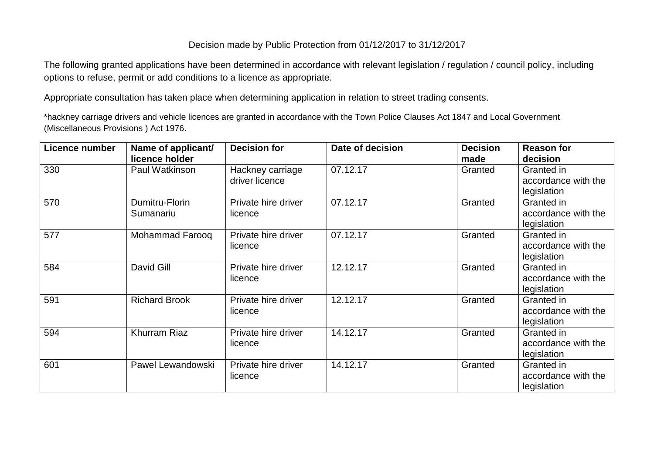## Decision made by Public Protection from 01/12/2017 to 31/12/2017

The following granted applications have been determined in accordance with relevant legislation / regulation / council policy, including options to refuse, permit or add conditions to a licence as appropriate.

Appropriate consultation has taken place when determining application in relation to street trading consents.

\*hackney carriage drivers and vehicle licences are granted in accordance with the Town Police Clauses Act 1847 and Local Government (Miscellaneous Provisions ) Act 1976.

| Licence number | Name of applicant/<br>licence holder | <b>Decision for</b>                | Date of decision | <b>Decision</b><br>made | <b>Reason for</b><br>decision                    |
|----------------|--------------------------------------|------------------------------------|------------------|-------------------------|--------------------------------------------------|
| 330            | Paul Watkinson                       | Hackney carriage<br>driver licence | 07.12.17         | Granted                 | Granted in<br>accordance with the<br>legislation |
| 570            | Dumitru-Florin<br>Sumanariu          | Private hire driver<br>licence     | 07.12.17         | Granted                 | Granted in<br>accordance with the<br>legislation |
| 577            | Mohammad Farooq                      | Private hire driver<br>licence     | 07.12.17         | Granted                 | Granted in<br>accordance with the<br>legislation |
| 584            | David Gill                           | Private hire driver<br>licence     | 12.12.17         | Granted                 | Granted in<br>accordance with the<br>legislation |
| 591            | <b>Richard Brook</b>                 | Private hire driver<br>licence     | 12.12.17         | Granted                 | Granted in<br>accordance with the<br>legislation |
| 594            | Khurram Riaz                         | Private hire driver<br>licence     | 14.12.17         | Granted                 | Granted in<br>accordance with the<br>legislation |
| 601            | Pawel Lewandowski                    | Private hire driver<br>licence     | 14.12.17         | Granted                 | Granted in<br>accordance with the<br>legislation |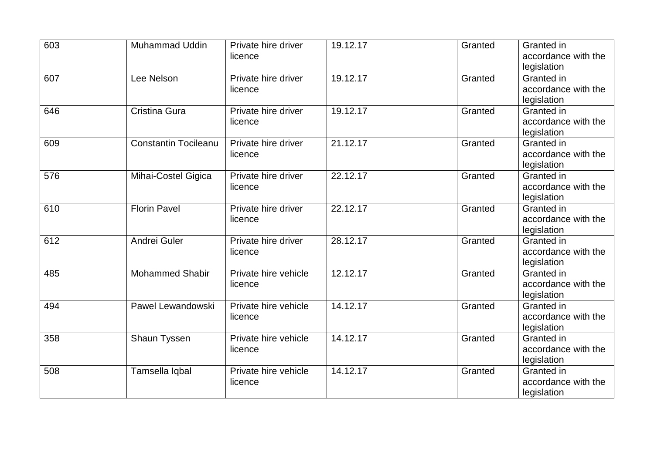| 603 | <b>Muhammad Uddin</b>       | Private hire driver  | 19.12.17 | Granted | Granted in                         |
|-----|-----------------------------|----------------------|----------|---------|------------------------------------|
|     |                             | licence              |          |         | accordance with the<br>legislation |
| 607 | Lee Nelson                  | Private hire driver  | 19.12.17 | Granted | Granted in                         |
|     |                             | licence              |          |         | accordance with the                |
|     |                             |                      |          |         | legislation                        |
| 646 | Cristina Gura               | Private hire driver  | 19.12.17 | Granted | Granted in                         |
|     |                             | licence              |          |         | accordance with the                |
|     |                             |                      |          |         | legislation                        |
| 609 | <b>Constantin Tocileanu</b> | Private hire driver  | 21.12.17 | Granted | Granted in                         |
|     |                             | licence              |          |         | accordance with the                |
|     |                             |                      |          |         | legislation                        |
| 576 | Mihai-Costel Gigica         | Private hire driver  | 22.12.17 | Granted | Granted in                         |
|     |                             | licence              |          |         | accordance with the                |
|     |                             |                      |          |         | legislation                        |
| 610 | <b>Florin Pavel</b>         | Private hire driver  | 22.12.17 | Granted | Granted in                         |
|     |                             | licence              |          |         | accordance with the                |
| 612 | Andrei Guler                | Private hire driver  | 28.12.17 | Granted | legislation<br>Granted in          |
|     |                             |                      |          |         | accordance with the                |
|     |                             | licence              |          |         |                                    |
| 485 | <b>Mohammed Shabir</b>      | Private hire vehicle | 12.12.17 | Granted | legislation<br>Granted in          |
|     |                             | licence              |          |         | accordance with the                |
|     |                             |                      |          |         | legislation                        |
| 494 | Pawel Lewandowski           | Private hire vehicle | 14.12.17 | Granted | Granted in                         |
|     |                             | licence              |          |         | accordance with the                |
|     |                             |                      |          |         | legislation                        |
| 358 | Shaun Tyssen                | Private hire vehicle | 14.12.17 | Granted | Granted in                         |
|     |                             | licence              |          |         | accordance with the                |
|     |                             |                      |          |         | legislation                        |
| 508 | Tamsella Iqbal              | Private hire vehicle | 14.12.17 | Granted | Granted in                         |
|     |                             | licence              |          |         | accordance with the                |
|     |                             |                      |          |         | legislation                        |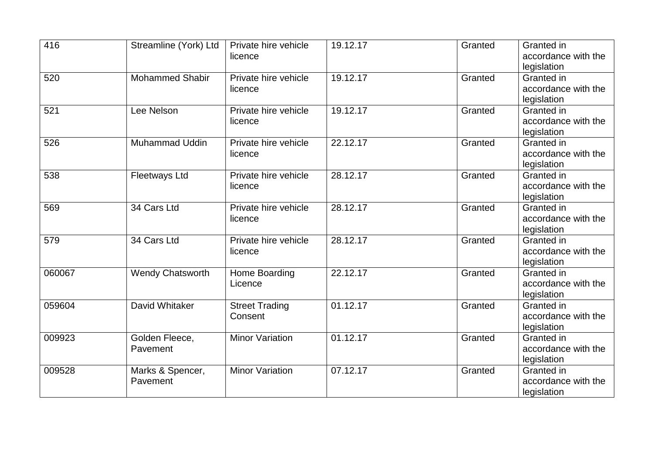| 416    | Streamline (York) Ltd   | Private hire vehicle   | 19.12.17 | Granted | Granted in                |
|--------|-------------------------|------------------------|----------|---------|---------------------------|
|        |                         | licence                |          |         | accordance with the       |
|        | <b>Mohammed Shabir</b>  | Private hire vehicle   | 19.12.17 | Granted | legislation<br>Granted in |
| 520    |                         |                        |          |         | accordance with the       |
|        |                         | licence                |          |         | legislation               |
| 521    | Lee Nelson              | Private hire vehicle   | 19.12.17 | Granted | Granted in                |
|        |                         | licence                |          |         | accordance with the       |
|        |                         |                        |          |         | legislation               |
| 526    | <b>Muhammad Uddin</b>   | Private hire vehicle   | 22.12.17 | Granted | Granted in                |
|        |                         | licence                |          |         | accordance with the       |
|        |                         |                        |          |         | legislation               |
| 538    | <b>Fleetways Ltd</b>    | Private hire vehicle   | 28.12.17 | Granted | Granted in                |
|        |                         | licence                |          |         | accordance with the       |
|        |                         |                        |          |         | legislation               |
| 569    | 34 Cars Ltd             | Private hire vehicle   | 28.12.17 | Granted | Granted in                |
|        |                         | licence                |          |         | accordance with the       |
|        |                         |                        |          |         | legislation               |
| 579    | 34 Cars Ltd             | Private hire vehicle   | 28.12.17 | Granted | Granted in                |
|        |                         | licence                |          |         | accordance with the       |
|        |                         |                        |          |         | legislation               |
| 060067 | <b>Wendy Chatsworth</b> | Home Boarding          | 22.12.17 | Granted | Granted in                |
|        |                         | Licence                |          |         | accordance with the       |
|        |                         |                        |          |         | legislation               |
| 059604 | David Whitaker          | <b>Street Trading</b>  | 01.12.17 | Granted | Granted in                |
|        |                         | Consent                |          |         | accordance with the       |
|        |                         |                        |          |         | legislation               |
| 009923 | Golden Fleece,          | <b>Minor Variation</b> | 01.12.17 | Granted | Granted in                |
|        | Pavement                |                        |          |         | accordance with the       |
|        |                         |                        |          |         | legislation               |
| 009528 | Marks & Spencer,        | <b>Minor Variation</b> | 07.12.17 | Granted | Granted in                |
|        | Pavement                |                        |          |         | accordance with the       |
|        |                         |                        |          |         | legislation               |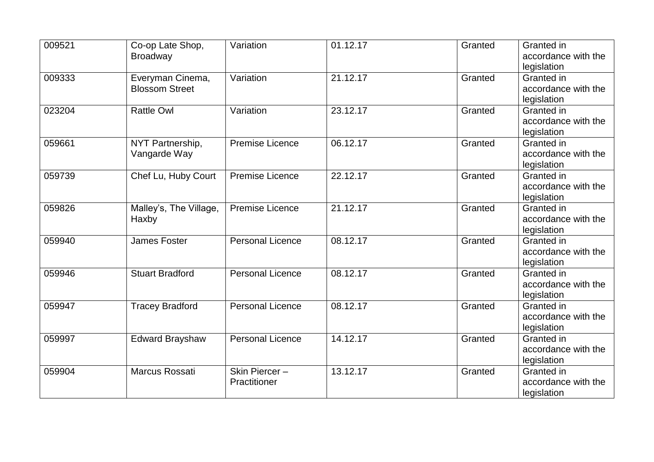| 009521 | Co-op Late Shop,       | Variation               | 01.12.17 | Granted | Granted in          |
|--------|------------------------|-------------------------|----------|---------|---------------------|
|        | <b>Broadway</b>        |                         |          |         | accordance with the |
|        |                        |                         |          |         | legislation         |
| 009333 | Everyman Cinema,       | Variation               | 21.12.17 | Granted | Granted in          |
|        | <b>Blossom Street</b>  |                         |          |         | accordance with the |
|        |                        |                         |          |         | legislation         |
| 023204 | <b>Rattle Owl</b>      | Variation               | 23.12.17 | Granted | Granted in          |
|        |                        |                         |          |         | accordance with the |
|        |                        |                         |          |         | legislation         |
| 059661 | NYT Partnership,       | <b>Premise Licence</b>  | 06.12.17 | Granted | Granted in          |
|        | Vangarde Way           |                         |          |         | accordance with the |
|        |                        |                         |          |         | legislation         |
| 059739 | Chef Lu, Huby Court    | <b>Premise Licence</b>  | 22.12.17 | Granted | Granted in          |
|        |                        |                         |          |         | accordance with the |
|        |                        |                         |          |         | legislation         |
| 059826 | Malley's, The Village, | <b>Premise Licence</b>  | 21.12.17 | Granted | Granted in          |
|        | Haxby                  |                         |          |         | accordance with the |
|        |                        |                         |          |         | legislation         |
| 059940 | <b>James Foster</b>    | <b>Personal Licence</b> | 08.12.17 | Granted | Granted in          |
|        |                        |                         |          |         | accordance with the |
|        |                        |                         |          |         | legislation         |
| 059946 | <b>Stuart Bradford</b> | <b>Personal Licence</b> | 08.12.17 | Granted | Granted in          |
|        |                        |                         |          |         | accordance with the |
|        |                        |                         |          |         | legislation         |
| 059947 | <b>Tracey Bradford</b> | <b>Personal Licence</b> | 08.12.17 | Granted | Granted in          |
|        |                        |                         |          |         | accordance with the |
|        |                        |                         |          |         | legislation         |
| 059997 | <b>Edward Brayshaw</b> | <b>Personal Licence</b> | 14.12.17 | Granted | Granted in          |
|        |                        |                         |          |         | accordance with the |
|        |                        |                         |          |         | legislation         |
| 059904 | Marcus Rossati         | Skin Piercer-           | 13.12.17 | Granted | Granted in          |
|        |                        | Practitioner            |          |         | accordance with the |
|        |                        |                         |          |         | legislation         |